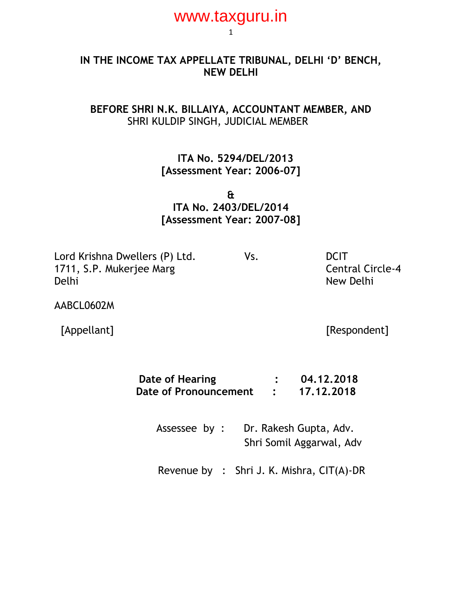### **IN THE INCOME TAX APPELLATE TRIBUNAL, DELHI 'D' BENCH, NEW DELHI**

## **BEFORE SHRI N.K. BILLAIYA, ACCOUNTANT MEMBER, AND** SHRI KULDIP SINGH, JUDICIAL MEMBER

 **ITA No. 5294/DEL/2013 [Assessment Year: 2006-07]**

**& ITA No. 2403/DEL/2014 [Assessment Year: 2007-08]**

Lord Krishna Dwellers (P) Ltd. Vs. Vs. DCIT 1711, S.P. Mukerjee Marg Central Circle-4 Delhi New Delhi New Delhi New Delhi New Delhi New Delhi New Delhi New Delhi New Delhi

AABCL0602M

[Appellant] [Respondent]

| Date of Hearing       | 04.12.2018 |
|-----------------------|------------|
| Date of Pronouncement | 17.12.2018 |

Assessee by : Dr. Rakesh Gupta, Adv. Shri Somil Aggarwal, Adv

Revenue by : Shri J. K. Mishra, CIT(A)-DR

1 www.taxguru.in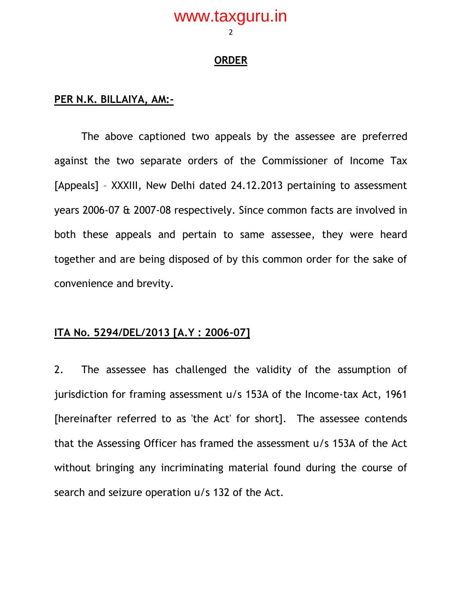#### **ORDER**

#### **PER N.K. BILLAIYA, AM:-**

The above captioned two appeals by the assessee are preferred against the two separate orders of the Commissioner of Income Tax [Appeals] – XXXIII, New Delhi dated 24.12.2013 pertaining to assessment years 2006-07 & 2007-08 respectively. Since common facts are involved in both these appeals and pertain to same assessee, they were heard together and are being disposed of by this common order for the sake of convenience and brevity.

#### **ITA No. 5294/DEL/2013 [A.Y : 2006-07]**

2. The assessee has challenged the validity of the assumption of jurisdiction for framing assessment u/s 153A of the Income-tax Act, 1961 [hereinafter referred to as 'the Act' for short]. The assessee contends that the Assessing Officer has framed the assessment u/s 153A of the Act without bringing any incriminating material found during the course of search and seizure operation u/s 132 of the Act.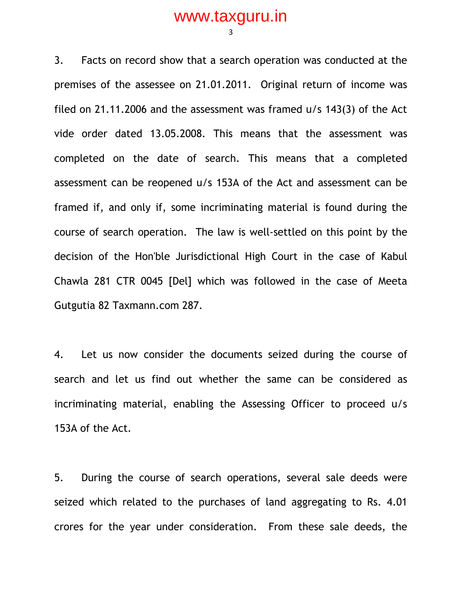3

3. Facts on record show that a search operation was conducted at the premises of the assessee on 21.01.2011. Original return of income was filed on 21.11.2006 and the assessment was framed u/s 143(3) of the Act vide order dated 13.05.2008. This means that the assessment was completed on the date of search. This means that a completed assessment can be reopened u/s 153A of the Act and assessment can be framed if, and only if, some incriminating material is found during the course of search operation. The law is well-settled on this point by the decision of the Hon'ble Jurisdictional High Court in the case of Kabul Chawla 281 CTR 0045 [Del] which was followed in the case of Meeta Gutgutia 82 Taxmann.com 287.

4. Let us now consider the documents seized during the course of search and let us find out whether the same can be considered as incriminating material, enabling the Assessing Officer to proceed u/s 153A of the Act.

5. During the course of search operations, several sale deeds were seized which related to the purchases of land aggregating to Rs. 4.01 crores for the year under consideration. From these sale deeds, the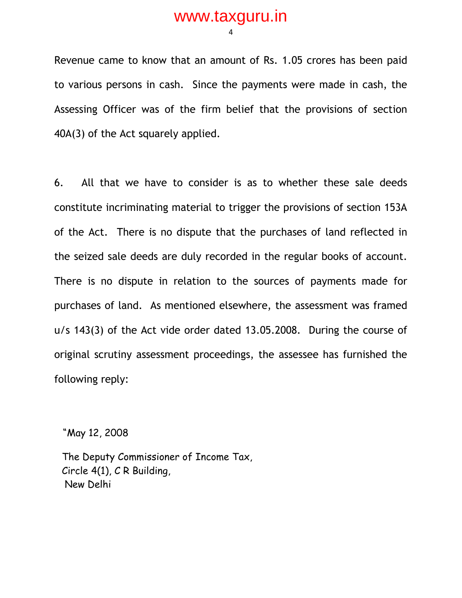4

Revenue came to know that an amount of Rs. 1.05 crores has been paid to various persons in cash. Since the payments were made in cash, the Assessing Officer was of the firm belief that the provisions of section 40A(3) of the Act squarely applied.

6. All that we have to consider is as to whether these sale deeds constitute incriminating material to trigger the provisions of section 153A of the Act. There is no dispute that the purchases of land reflected in the seized sale deeds are duly recorded in the regular books of account. There is no dispute in relation to the sources of payments made for purchases of land. As mentioned elsewhere, the assessment was framed u/s 143(3) of the Act vide order dated 13.05.2008. During the course of original scrutiny assessment proceedings, the assessee has furnished the following reply:

"May 12, 2008

The Deputy Commissioner of Income Tax, Circle 4(1), C R Building, New Delhi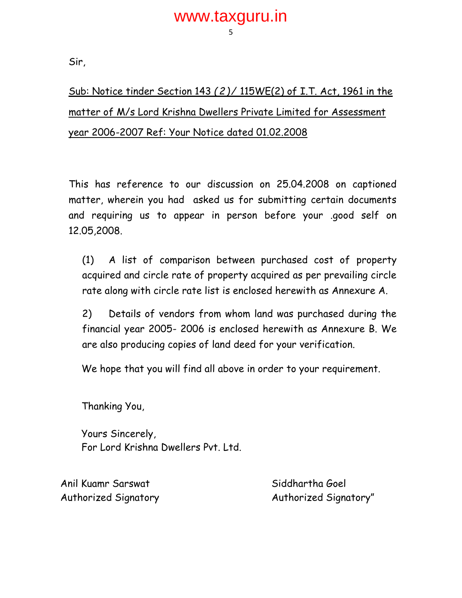Sir,

Sub: Notice tinder Section 143 *(2)/* 115WE(2) of I.T. Act, 1961 in the matter of M/s Lord Krishna Dwellers Private Limited for Assessment year 2006-2007 Ref: Your Notice dated 01.02.2008

This has reference to our discussion on 25.04.2008 on captioned matter, wherein you had asked us for submitting certain documents and requiring us to appear in person before your .good self on 12.05,2008.

(1) A list of comparison between purchased cost of property acquired and circle rate of property acquired as per prevailing circle rate along with circle rate list is enclosed herewith as Annexure A.

2) Details of vendors from whom land was purchased during the financial year 2005- 2006 is enclosed herewith as Annexure B. We are also producing copies of land deed for your verification.

We hope that you will find all above in order to your requirement.

Thanking You,

Yours Sincerely, For Lord Krishna Dwellers Pvt. Ltd.

Anil Kuamr Sarswat Siddhartha Goel

Authorized Signatory Authorized Signatory"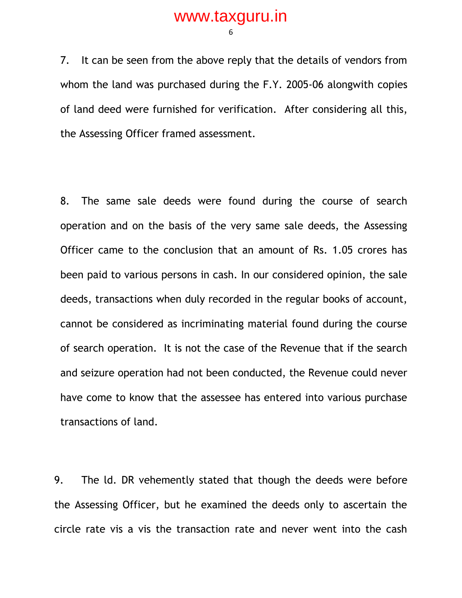6

7. It can be seen from the above reply that the details of vendors from whom the land was purchased during the F.Y. 2005-06 alongwith copies of land deed were furnished for verification. After considering all this, the Assessing Officer framed assessment.

8. The same sale deeds were found during the course of search operation and on the basis of the very same sale deeds, the Assessing Officer came to the conclusion that an amount of Rs. 1.05 crores has been paid to various persons in cash. In our considered opinion, the sale deeds, transactions when duly recorded in the regular books of account, cannot be considered as incriminating material found during the course of search operation. It is not the case of the Revenue that if the search and seizure operation had not been conducted, the Revenue could never have come to know that the assessee has entered into various purchase transactions of land.

9. The ld. DR vehemently stated that though the deeds were before the Assessing Officer, but he examined the deeds only to ascertain the circle rate vis a vis the transaction rate and never went into the cash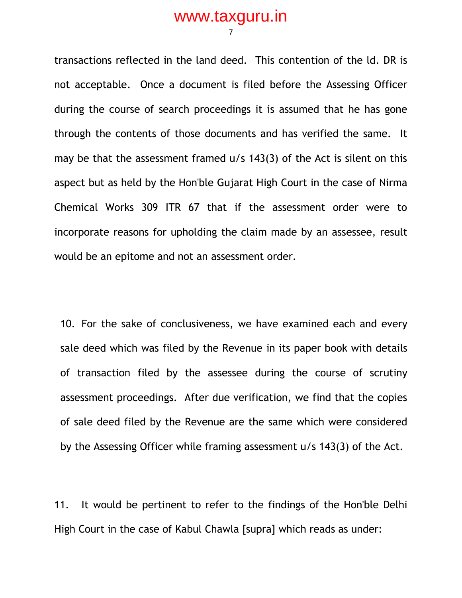transactions reflected in the land deed. This contention of the ld. DR is not acceptable. Once a document is filed before the Assessing Officer during the course of search proceedings it is assumed that he has gone through the contents of those documents and has verified the same. It may be that the assessment framed u/s 143(3) of the Act is silent on this aspect but as held by the Hon'ble Gujarat High Court in the case of Nirma Chemical Works 309 ITR 67 that if the assessment order were to incorporate reasons for upholding the claim made by an assessee, result would be an epitome and not an assessment order.

10. For the sake of conclusiveness, we have examined each and every sale deed which was filed by the Revenue in its paper book with details of transaction filed by the assessee during the course of scrutiny assessment proceedings. After due verification, we find that the copies of sale deed filed by the Revenue are the same which were considered by the Assessing Officer while framing assessment u/s 143(3) of the Act.

11. It would be pertinent to refer to the findings of the Hon'ble Delhi High Court in the case of Kabul Chawla [supra] which reads as under: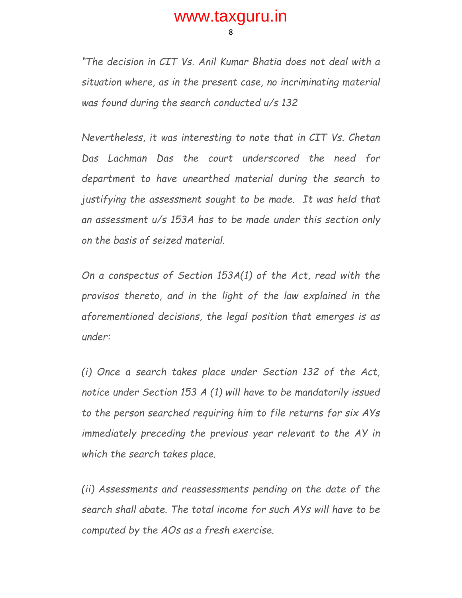8

*"The decision in CIT Vs. Anil Kumar Bhatia does not deal with a situation where, as in the present case, no incriminating material was found during the search conducted u/s 132*

*Nevertheless, it was interesting to note that in CIT Vs. Chetan Das Lachman Das the court underscored the need for department to have unearthed material during the search to justifying the assessment sought to be made. It was held that an assessment u/s 153A has to be made under this section only on the basis of seized material.*

*On a conspectus of Section 153A(1) of the Act, read with the provisos thereto, and in the light of the law explained in the aforementioned decisions, the legal position that emerges is as under:*

*(i) Once a search takes place under Section 132 of the Act, notice under Section 153 A (1) will have to be mandatorily issued to the person searched requiring him to file returns for six AYs immediately preceding the previous year relevant to the AY in which the search takes place.*

*(ii) Assessments and reassessments pending on the date of the search shall abate. The total income for such AYs will have to be computed by the AOs as a fresh exercise.*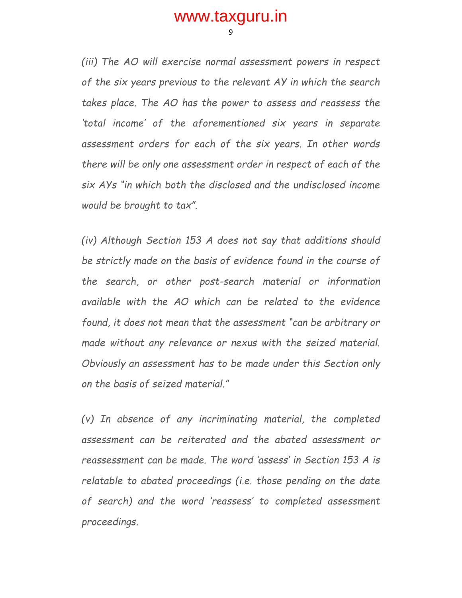9

*(iii) The AO will exercise normal assessment powers in respect of the six years previous to the relevant AY in which the search takes place. The AO has the power to assess and reassess the 'total income' of the aforementioned six years in separate assessment orders for each of the six years. In other words there will be only one assessment order in respect of each of the six AYs "in which both the disclosed and the undisclosed income would be brought to tax".*

*(iv) Although Section 153 A does not say that additions should be strictly made on the basis of evidence found in the course of the search, or other post-search material or information available with the AO which can be related to the evidence found, it does not mean that the assessment "can be arbitrary or made without any relevance or nexus with the seized material. Obviously an assessment has to be made under this Section only on the basis of seized material."*

*(v) In absence of any incriminating material, the completed assessment can be reiterated and the abated assessment or reassessment can be made. The word 'assess' in Section 153 A is relatable to abated proceedings (i.e. those pending on the date of search) and the word 'reassess' to completed assessment proceedings.*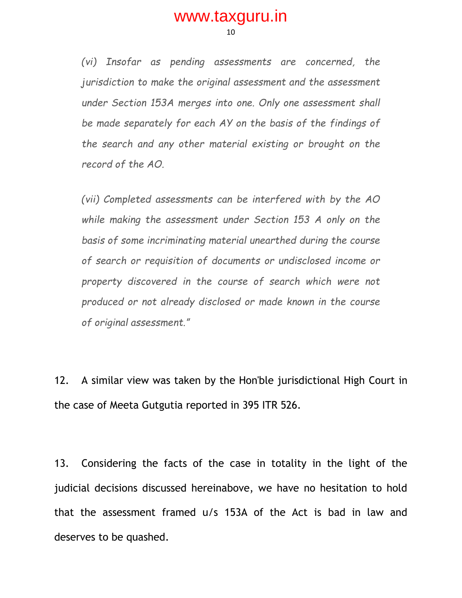10

*(vi) Insofar as pending assessments are concerned, the jurisdiction to make the original assessment and the assessment under Section 153A merges into one. Only one assessment shall be made separately for each AY on the basis of the findings of the search and any other material existing or brought on the record of the AO.*

*(vii) Completed assessments can be interfered with by the AO while making the assessment under Section 153 A only on the basis of some incriminating material unearthed during the course of search or requisition of documents or undisclosed income or*  property discovered in the course of search which were not *produced or not already disclosed or made known in the course of original assessment."*

12. A similar view was taken by the Hon'ble jurisdictional High Court in the case of Meeta Gutgutia reported in 395 ITR 526.

13. Considering the facts of the case in totality in the light of the judicial decisions discussed hereinabove, we have no hesitation to hold that the assessment framed u/s 153A of the Act is bad in law and deserves to be quashed.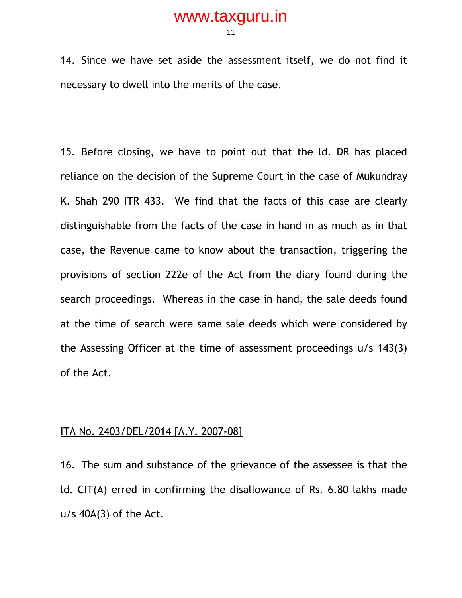11

14. Since we have set aside the assessment itself, we do not find it necessary to dwell into the merits of the case.

15. Before closing, we have to point out that the ld. DR has placed reliance on the decision of the Supreme Court in the case of Mukundray K. Shah 290 ITR 433. We find that the facts of this case are clearly distinguishable from the facts of the case in hand in as much as in that case, the Revenue came to know about the transaction, triggering the provisions of section 222e of the Act from the diary found during the search proceedings. Whereas in the case in hand, the sale deeds found at the time of search were same sale deeds which were considered by the Assessing Officer at the time of assessment proceedings u/s 143(3) of the Act.

#### ITA No. 2403/DEL/2014 [A.Y. 2007-08]

16. The sum and substance of the grievance of the assessee is that the ld. CIT(A) erred in confirming the disallowance of Rs. 6.80 lakhs made  $u/s$  40A(3) of the Act.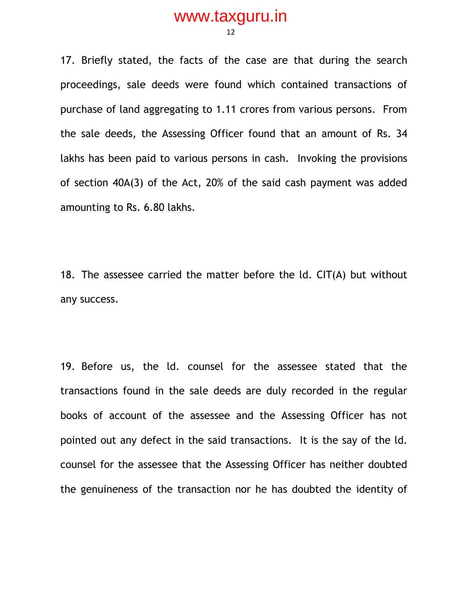12

17. Briefly stated, the facts of the case are that during the search proceedings, sale deeds were found which contained transactions of purchase of land aggregating to 1.11 crores from various persons. From the sale deeds, the Assessing Officer found that an amount of Rs. 34 lakhs has been paid to various persons in cash. Invoking the provisions of section 40A(3) of the Act, 20% of the said cash payment was added amounting to Rs. 6.80 lakhs.

18. The assessee carried the matter before the ld. CIT(A) but without any success.

19. Before us, the ld. counsel for the assessee stated that the transactions found in the sale deeds are duly recorded in the regular books of account of the assessee and the Assessing Officer has not pointed out any defect in the said transactions. It is the say of the ld. counsel for the assessee that the Assessing Officer has neither doubted the genuineness of the transaction nor he has doubted the identity of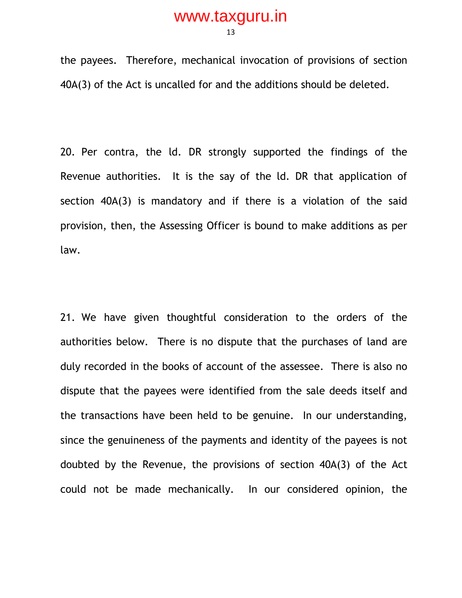13

the payees. Therefore, mechanical invocation of provisions of section 40A(3) of the Act is uncalled for and the additions should be deleted.

20. Per contra, the ld. DR strongly supported the findings of the Revenue authorities. It is the say of the ld. DR that application of section 40A(3) is mandatory and if there is a violation of the said provision, then, the Assessing Officer is bound to make additions as per law.

21. We have given thoughtful consideration to the orders of the authorities below. There is no dispute that the purchases of land are duly recorded in the books of account of the assessee. There is also no dispute that the payees were identified from the sale deeds itself and the transactions have been held to be genuine. In our understanding, since the genuineness of the payments and identity of the payees is not doubted by the Revenue, the provisions of section 40A(3) of the Act could not be made mechanically. In our considered opinion, the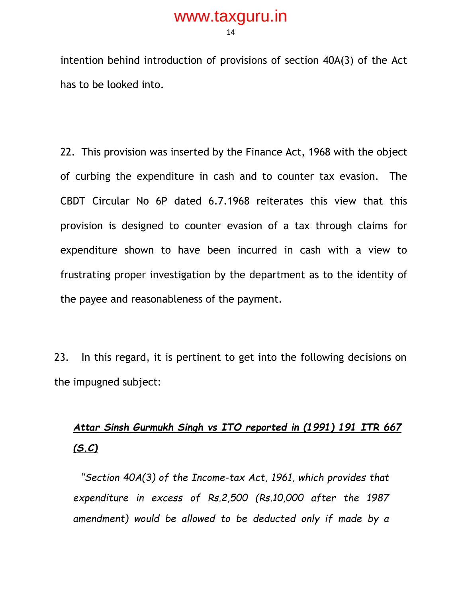14

intention behind introduction of provisions of section 40A(3) of the Act has to be looked into.

22. This provision was inserted by the Finance Act, 1968 with the object of curbing the expenditure in cash and to counter tax evasion. The CBDT Circular No 6P dated 6.7.1968 reiterates this view that this provision is designed to counter evasion of a tax through claims for expenditure shown to have been incurred in cash with a view to frustrating proper investigation by the department as to the identity of the payee and reasonableness of the payment.

23. In this regard, it is pertinent to get into the following decisions on the impugned subject:

# *Attar Sinsh Gurmukh Singh vs ITO reported in (1991) 191 ITR 667 (S.C)*

*"Section 40A(3) of the Income-tax Act, 1961, which provides that expenditure in excess of Rs.2,500 (Rs.10,000 after the 1987 amendment) would be allowed to be deducted only if made by a*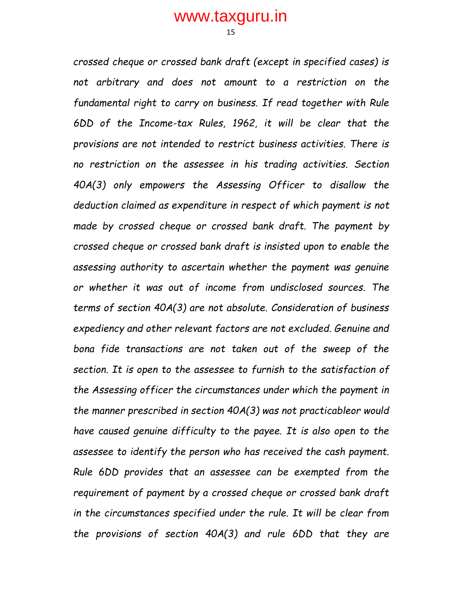15

*crossed cheque or crossed bank draft (except in specified cases) is not arbitrary and does not amount to a restriction on the fundamental right to carry on business. If read together with Rule 6DD of the Income-tax Rules, 1962, it will be clear that the provisions are not intended to restrict business activities. There is no restriction on the assessee in his trading activities. Section 40A(3) only empowers the Assessing Officer to disallow the deduction claimed as expenditure in respect of which payment is not made by crossed cheque or crossed bank draft. The payment by crossed cheque or crossed bank draft is insisted upon to enable the assessing authority to ascertain whether the payment was genuine or whether it was out of income from undisclosed sources. The terms of section 40A(3) are not absolute. Consideration of business expediency and other relevant factors are not excluded. Genuine and bona fide transactions are not taken out of the sweep of the section. It is open to the assessee to furnish to the satisfaction of the Assessing officer the circumstances under which the payment in the manner prescribed in section 40A(3) was not practicableor would have caused genuine difficulty to the payee. It is also open to the assessee to identify the person who has received the cash payment. Rule 6DD provides that an assessee can be exempted from the requirement of payment by a crossed cheque or crossed bank draft in the circumstances specified under the rule. It will be clear from the provisions of section 40A(3) and rule 6DD that they are*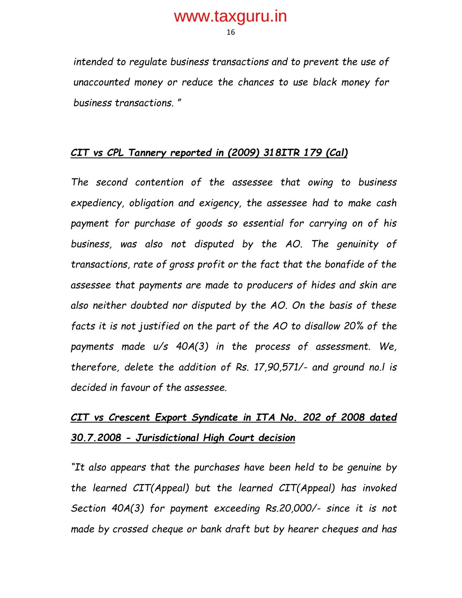16

*intended to regulate business transactions and to prevent the use of unaccounted money or reduce the chances to use black money for business transactions. "*

### *CIT vs CPL Tannery reported in (2009) 318ITR 179 (Cal)*

*The second contention of the assessee that owing to business expediency, obligation and exigency, the assessee had to make cash payment for purchase of goods so essential for carrying on of his business, was also not disputed by the AO. The genuinity of transactions, rate of gross profit or the fact that the bonafide of the assessee that payments are made to producers of hides and skin are also neither doubted nor disputed by the AO. On the basis of these facts it is not justified on the part of the AO to disallow 20% of the payments made u/s 40A(3) in the process of assessment. We, therefore, delete the addition of Rs. 17,90,571/- and ground no.l is decided in favour of the assessee.*

# *CIT vs Crescent Export Syndicate in ITA No. 202 of 2008 dated 30.7.2008 - Jurisdictional High Court decision*

*"It also appears that the purchases have been held to be genuine by the learned CIT(Appeal) but the learned CIT(Appeal) has invoked Section 40A(3) for payment exceeding Rs.20,000/- since it is not made by crossed cheque or bank draft but by hearer cheques and has*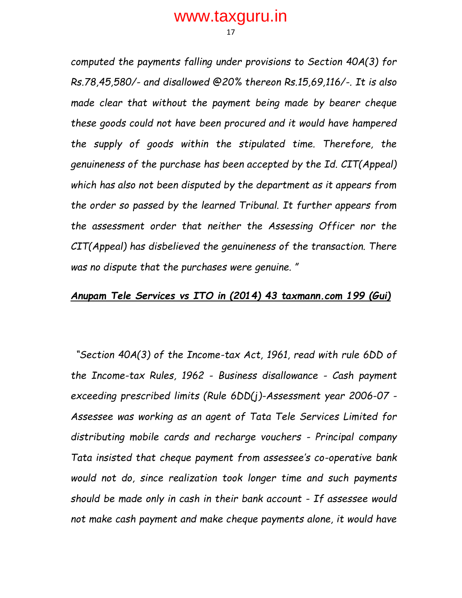17

*computed the payments falling under provisions to Section 40A(3) for Rs.78,45,580/- and disallowed @20% thereon Rs.15,69,116/-. It is also made clear that without the payment being made by bearer cheque these goods could not have been procured and it would have hampered the supply of goods within the stipulated time. Therefore, the genuineness of the purchase has been accepted by the Id. CIT(Appeal) which has also not been disputed by the department as it appears from the order so passed by the learned Tribunal. It further appears from the assessment order that neither the Assessing Officer nor the CIT(Appeal) has disbelieved the genuineness of the transaction. There was no dispute that the purchases were genuine. "*

#### *Anupam Tele Services vs ITO in (2014) 43 taxmann.com 199 (Gui)*

*"Section 40A(3) of the Income-tax Act, 1961, read with rule 6DD of the Income-tax Rules, 1962 - Business disallowance - Cash payment exceeding prescribed limits (Rule 6DD(j)-Assessment year 2006-07 - Assessee was working as an agent of Tata Tele Services Limited for distributing mobile cards and recharge vouchers - Principal company Tata insisted that cheque payment from assessee's co-operative bank would not do, since realization took longer time and such payments should be made only in cash in their bank account - If assessee would not make cash payment and make cheque payments alone, it would have*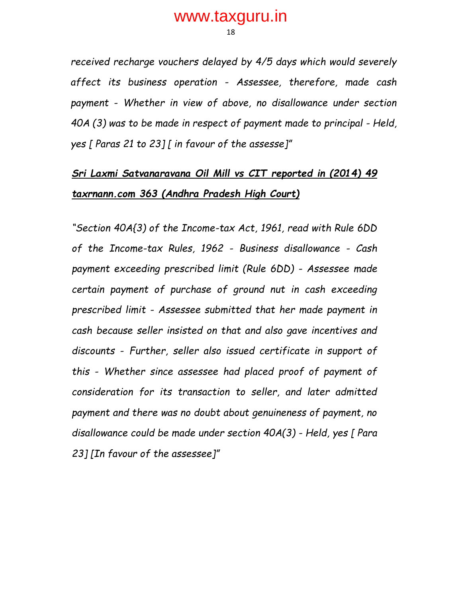18

*received recharge vouchers delayed by 4/5 days which would severely affect its business operation - Assessee, therefore, made cash payment - Whether in view of above, no disallowance under section 40A (3) was to be made in respect of payment made to principal - Held, yes [ Paras 21 to 23] [ in favour of the assesse]"*

# *Sri Laxmi Satvanaravana Oil Mill vs CIT reported in (2014) 49 taxrnann.com 363 (Andhra Pradesh High Court)*

*"Section 40A{3) of the Income-tax Act, 1961, read with Rule 6DD of the Income-tax Rules, 1962 - Business disallowance - Cash payment exceeding prescribed limit (Rule 6DD) - Assessee made certain payment of purchase of ground nut in cash exceeding prescribed limit - Assessee submitted that her made payment in cash because seller insisted on that and also gave incentives and discounts - Further, seller also issued certificate in support of this - Whether since assessee had placed proof of payment of consideration for its transaction to seller, and later admitted payment and there was no doubt about genuineness of payment, no disallowance could be made under section 40A(3) - Held, yes [ Para 23] [In favour of the assessee]"*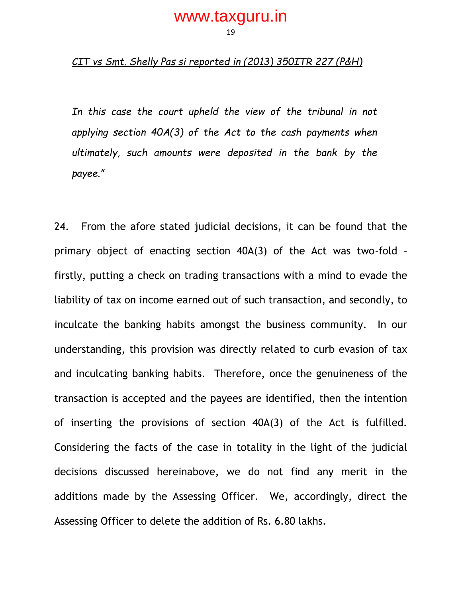#### *CIT vs Smt. Shelly Pas si reported in (2013) 350ITR 227 (P&H)*

In this case the court upheld the view of the tribunal in not *applying section 40A(3) of the Act to the cash payments when ultimately, such amounts were deposited in the bank by the payee."*

24. From the afore stated judicial decisions, it can be found that the primary object of enacting section 40A(3) of the Act was two-fold – firstly, putting a check on trading transactions with a mind to evade the liability of tax on income earned out of such transaction, and secondly, to inculcate the banking habits amongst the business community. In our understanding, this provision was directly related to curb evasion of tax and inculcating banking habits. Therefore, once the genuineness of the transaction is accepted and the payees are identified, then the intention of inserting the provisions of section 40A(3) of the Act is fulfilled. Considering the facts of the case in totality in the light of the judicial decisions discussed hereinabove, we do not find any merit in the additions made by the Assessing Officer. We, accordingly, direct the Assessing Officer to delete the addition of Rs. 6.80 lakhs.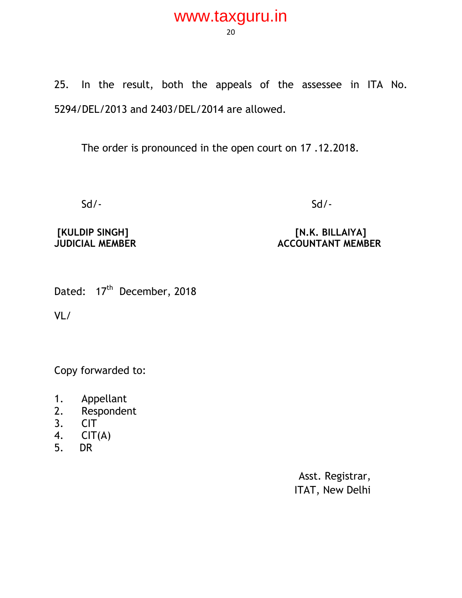20

25. In the result, both the appeals of the assessee in ITA No. 5294/DEL/2013 and 2403/DEL/2014 are allowed.

The order is pronounced in the open court on 17 .12.2018.

Sd/- Sd/-

## **[KULDIP SINGH] [N.K. BILLAIYA] ACCOUNTANT MEMBER**

Dated: 17<sup>th</sup> December, 2018

VL/

Copy forwarded to:

- 1. Appellant
- 2. Respondent
- 3. CIT
- 4.  $CIT(A)$
- 5. DR

Asst. Registrar, ITAT, New Delhi